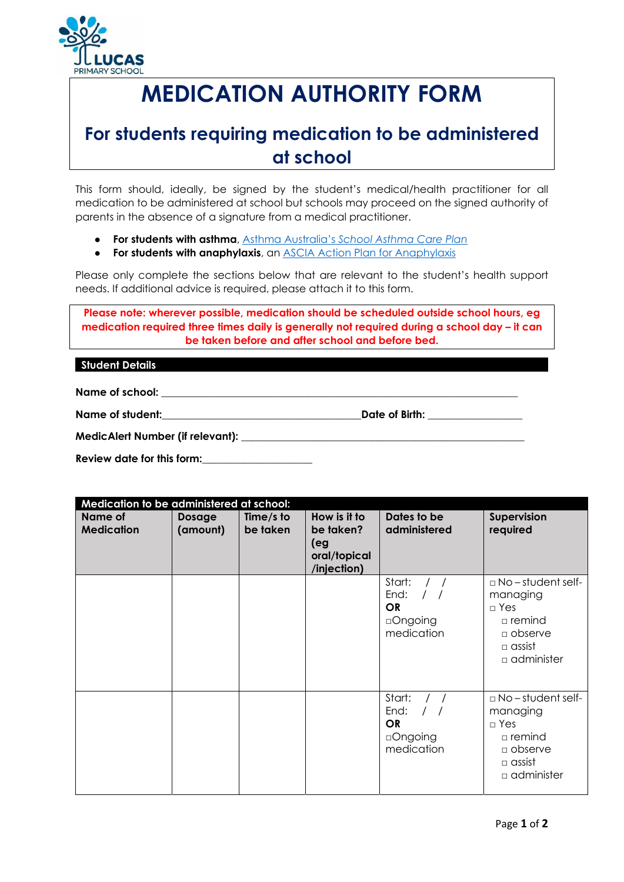

# **MEDICATION AUTHORITY FORM**

# **For students requiring medication to be administered at school**

This form should, ideally, be signed by the student's medical/health practitioner for all medication to be administered at school but schools may proceed on the signed authority of parents in the absence of a signature from a medical practitioner.

- **For students with asthma**, Asthma Australia's *School Asthma Care Plan*
- **For students with anaphylaxis**, an ASCIA Action Plan for Anaphylaxis

Please only complete the sections below that are relevant to the student's health support needs. If additional advice is required, please attach it to this form.

**Please note: wherever possible, medication should be scheduled outside school hours, eg medication required three times daily is generally not required during a school day – it can be taken before and after school and before bed.** 

### **Student Details**

**Name of school: \_\_\_\_\_\_\_\_\_\_\_\_\_\_\_\_\_\_\_\_\_\_\_\_\_\_\_\_\_\_\_\_\_\_\_\_\_\_\_\_\_\_\_\_\_\_\_\_\_\_\_\_\_\_\_\_\_\_\_\_\_\_\_\_\_\_\_\_** 

**Name of student:\_\_\_\_\_\_\_\_\_\_\_\_\_\_\_\_\_\_\_\_\_\_\_\_\_\_\_\_\_\_\_\_\_\_\_\_\_\_Date of Birth: \_\_\_\_\_\_\_\_\_\_\_\_\_\_\_\_\_\_** 

**MedicAlert Number (if relevant): \_\_\_\_\_\_\_\_\_\_\_\_\_\_\_\_\_\_\_\_\_\_\_\_\_\_\_\_\_\_\_\_\_\_\_\_\_\_\_\_\_\_\_\_\_\_\_\_\_\_\_\_\_\_** 

**Review date for this form:\_\_\_\_\_\_\_\_\_\_\_\_\_\_\_\_\_\_\_\_\_** 

| Medication to be administered at school: |                           |                       |                                                                 |                                                       |                                                                                                                         |  |
|------------------------------------------|---------------------------|-----------------------|-----------------------------------------------------------------|-------------------------------------------------------|-------------------------------------------------------------------------------------------------------------------------|--|
| <b>Name of</b><br><b>Medication</b>      | <b>Dosage</b><br>(amount) | Time/s to<br>be taken | How is it to<br>be taken?<br>(eg<br>oral/topical<br>/injection) | Dates to be<br>administered                           | Supervision<br>required                                                                                                 |  |
|                                          |                           |                       |                                                                 | Start:<br>End:<br><b>OR</b><br>□Ongoing<br>medication | $\Box$ No – student self-<br>managing<br>$\Box$ Yes<br>$\Box$ remind<br>$\Box$ observe<br>$\Box$ assist<br>□ administer |  |
|                                          |                           |                       |                                                                 | Start:<br>End:<br><b>OR</b><br>□Ongoing<br>medication | $\Box$ No – student self-<br>managing<br>$\Box$ Yes<br>□ remind<br>$\Box$ observe<br>$\Box$ assist<br>a administer      |  |